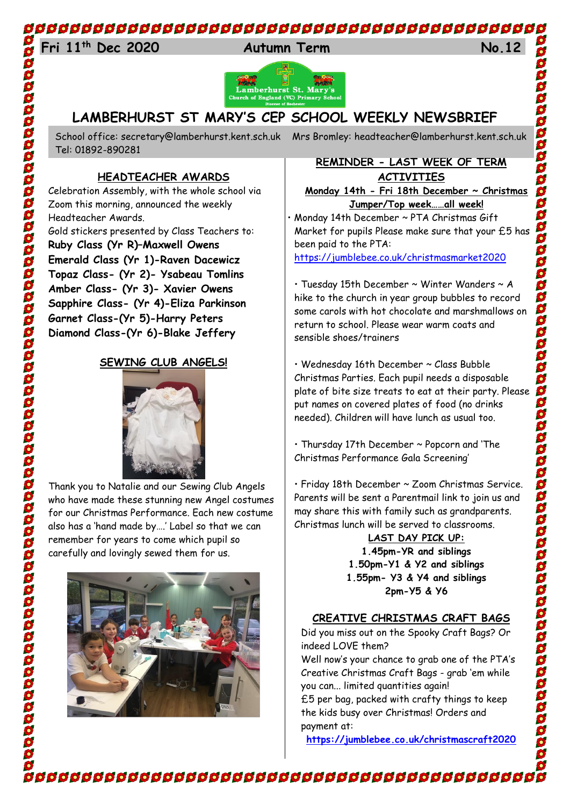# 

# 24 **Fri 11th Dec 2020 Autumn Term No.12**







# **LAMBERHURST ST MARY'S CEP SCHOOL WEEKLY NEWSBRIEF**

Tel: 01892-890281

#### **HEADTEACHER AWARDS**

Celebration Assembly, with the whole school via Zoom this morning, announced the weekly Headteacher Awards. Gold stickers presented by Class Teachers to:

**Ruby Class (Yr R)–Maxwell Owens Emerald Class (Yr 1)-Raven Dacewicz Topaz Class- (Yr 2)- Ysabeau Tomlins Amber Class- (Yr 3)- Xavier Owens Sapphire Class- (Yr 4)-Eliza Parkinson Garnet Class-(Yr 5)-Harry Peters Diamond Class-(Yr 6)-Blake Jeffery**

#### **SEWING CLUB ANGELS!**



Thank you to Natalie and our Sewing Club Angels who have made these stunning new Angel costumes for our Christmas Performance. Each new costume also has a 'hand made by….' Label so that we can remember for years to come which pupil so carefully and lovingly sewed them for us.



School office: [secretary@lamberhurst.kent.sch.uk](mailto:secretary@lamberhurst.kent.sch.uk) Mrs Bromley: headteacher@lamberhurst.kent.sch.uk

#### **REMINDER - LAST WEEK OF TERM ACTIVITIES**

**Monday 14th - Fri 18th December ~ Christmas Jumper/Top week……all week!**

• Monday 14th December ~ PTA Christmas Gift Market for pupils Please make sure that your £5 has been paid to the PTA:

<https://jumblebee.co.uk/christmasmarket2020>

• Tuesday 15th December ~ Winter Wanders ~ A hike to the church in year group bubbles to record some carols with hot chocolate and marshmallows on return to school. Please wear warm coats and sensible shoes/trainers

• Wednesday 16th December ~ Class Bubble Christmas Parties. Each pupil needs a disposable plate of bite size treats to eat at their party. Please put names on covered plates of food (no drinks needed). Children will have lunch as usual too.

• Thursday 17th December ~ Popcorn and 'The Christmas Performance Gala Screening'

• Friday 18th December ~ Zoom Christmas Service. Parents will be sent a Parentmail link to join us and may share this with family such as grandparents. Christmas lunch will be served to classrooms.

**LAST DAY PICK UP: 1.45pm-YR and siblings 1.50pm-Y1 & Y2 and siblings 1.55pm- Y3 & Y4 and siblings 2pm-Y5 & Y6**

## **CREATIVE CHRISTMAS CRAFT BAGS**

Did you miss out on the Spooky Craft Bags? Or indeed LOVE them?

Well now's your chance to grab one of the PTA's Creative Christmas Craft Bags - grab 'em while you can... limited quantities again!

£5 per bag, packed with crafty things to keep the kids busy over Christmas! Orders and payment at:

**<https://jumblebee.co.uk/christmascraft2020>**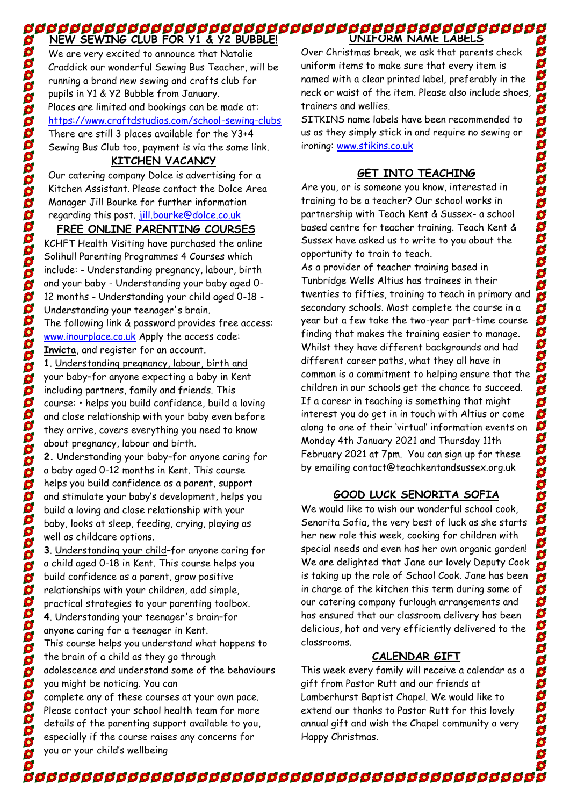#### **NEW SEWING CLUB FOR Y1 & Y2 BUBBLE! UNIFORM SEWING CLUB FOR Y1 & Y2 BUBBLE! |**<br>The Mew Sewing club for y1 & y2 Bubble! | WILL UNIFORM NAME LABELS

We are very excited to announce that Natalie Craddick our wonderful Sewing Bus Teacher, will be running a brand new sewing and crafts club for pupils in Y1 & Y2 Bubble from January. Places are limited and bookings can be made at: <https://www.craftdstudios.com/school-sewing-clubs> There are still 3 places available for the Y3+4 Sewing Bus Club too, payment is via the same link.

S 88

 $\tilde{\mathbf{S}}$ 

000000000000

388

00000000

368

**Boobooco** 

00000000

88888

668

6 \$  $\ddot{\bullet}$  $\mathbf{S}$ S

S

#### **KITCHEN VACANCY**

Our catering company Dolce is advertising for a Kitchen Assistant. Please contact the Dolce Area Manager Jill Bourke for further information regarding this post. [jill.bourke@dolce.co.uk](mailto:jill.bourke@dolce.co.uk)

# **FREE ONLINE PARENTING COURSES**

KCHFT Health Visiting have purchased the online Solihull Parenting Programmes 4 Courses which include: - Understanding pregnancy, labour, birth and your baby - Understanding your baby aged 0- 12 months - Understanding your child aged 0-18 - Understanding your teenager's brain.

The following link & password provides free access: [www.inourplace.co.uk](http://www.inourplace.co.uk/) Apply the access code: **Invicta**, and register for an account.

**1**. Understanding pregnancy, labour, birth and your baby–for anyone expecting a baby in Kent including partners, family and friends. This course: • helps you build confidence, build a loving and close relationship with your baby even before they arrive, covers everything you need to know about pregnancy, labour and birth.

**2.** Understanding your baby–for anyone caring for a baby aged 0-12 months in Kent. This course helps you build confidence as a parent, support and stimulate your baby's development, helps you build a loving and close relationship with your baby, looks at sleep, feeding, crying, playing as well as childcare options.

**3**. Understanding your child–for anyone caring for a child aged 0-18 in Kent. This course helps you build confidence as a parent, grow positive relationships with your children, add simple, practical strategies to your parenting toolbox. **4**. Understanding your teenager's brain–for anyone caring for a teenager in Kent. This course helps you understand what happens to the brain of a child as they go through adolescence and understand some of the behaviours you might be noticing. You can complete any of these courses at your own pace. Please contact your school health team for more details of the parenting support available to you, especially if the course raises any concerns for

you or your child's wellbeing

Over Christmas break, we ask that parents check uniform items to make sure that every item is named with a clear printed label, preferably in the neck or waist of the item. Please also include shoes, trainers and wellies.

SITKINS name labels have been recommended to us as they simply stick in and require no sewing or ironing: [www.stikins.co.uk](http://www.stikins.co.uk/) 

## **GET INTO TEACHING**

Are you, or is someone you know, interested in training to be a teacher? Our school works in partnership with Teach Kent & Sussex- a school based centre for teacher training. Teach Kent & Sussex have asked us to write to you about the opportunity to train to teach.

As a provider of teacher training based in Tunbridge Wells Altius has trainees in their twenties to fifties, training to teach in primary and secondary schools. Most complete the course in a year but a few take the two-year part-time course finding that makes the training easier to manage. Whilst they have different backgrounds and had different career paths, what they all have in common is a commitment to helping ensure that the children in our schools get the chance to succeed. If a career in teaching is something that might interest you do get in in touch with Altius or come along to one of their 'virtual' information events on Monday 4th January 2021 and Thursday 11th February 2021 at 7pm. You can sign up for these by emailing contact@teachkentandsussex.org.uk

# **GOOD LUCK SENORITA SOFIA**

We would like to wish our wonderful school cook, Senorita Sofia, the very best of luck as she starts her new role this week, cooking for children with special needs and even has her own organic garden! We are delighted that Jane our lovely Deputy Cook is taking up the role of School Cook. Jane has been in charge of the kitchen this term during some of our catering company furlough arrangements and has ensured that our classroom delivery has been delicious, hot and very efficiently delivered to the classrooms.

## **CALENDAR GIFT**

This week every family will receive a calendar as a gift from Pastor Rutt and our friends at Lamberhurst Baptist Chapel. We would like to extend our thanks to Pastor Rutt for this lovely annual gift and wish the Chapel community a very Happy Christmas.